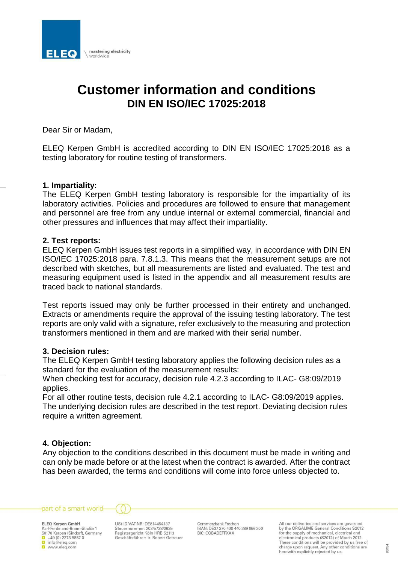

# **Customer information and conditions DIN EN ISO/IEC 17025:2018**

Dear Sir or Madam,

ELEQ Kerpen GmbH is accredited according to DIN EN ISO/IEC 17025:2018 as a testing laboratory for routine testing of transformers.

### **1. Impartiality:**

The ELEQ Kerpen GmbH testing laboratory is responsible for the impartiality of its laboratory activities. Policies and procedures are followed to ensure that management and personnel are free from any undue internal or external commercial, financial and other pressures and influences that may affect their impartiality.

## **2. Test reports:**

ELEQ Kerpen GmbH issues test reports in a simplified way, in accordance with DIN EN ISO/IEC 17025:2018 para. 7.8.1.3. This means that the measurement setups are not described with sketches, but all measurements are listed and evaluated. The test and measuring equipment used is listed in the appendix and all measurement results are traced back to national standards.

Test reports issued may only be further processed in their entirety and unchanged. Extracts or amendments require the approval of the issuing testing laboratory. The test reports are only valid with a signature, refer exclusively to the measuring and protection transformers mentioned in them and are marked with their serial number.

### **3. Decision rules:**

The ELEQ Kerpen GmbH testing laboratory applies the following decision rules as a standard for the evaluation of the measurement results:

When checking test for accuracy, decision rule 4.2.3 according to ILAC- G8:09/2019 applies.

For all other routine tests, decision rule 4.2.1 according to ILAC- G8:09/2019 applies. The underlying decision rules are described in the test report. Deviating decision rules require a written agreement.

# **4. Objection:**

Any objection to the conditions described in this document must be made in writing and can only be made before or at the latest when the contract is awarded. After the contract has been awarded, the terms and conditions will come into force unless objected to.





**ELEQ Kerpen GmbH** Karl-Ferdinand-Braun-Straße 1<br>50170 Kerpen (Sindorf), Germany  $\frac{1}{2}$  +49 (0) 2273 9887-0 www.eleg.com

USt-ID/VAT-NR: DE814454137 Steuernummer: 203/5738/0635 Registergericht Köln HRB 52113 Geschäftsführer: ir. Robert Getreuer

Commerzbank Frechen IBAN: DE37 370 400 440 389 066 200 **BIC: COBADEFFXXX** 

All our deliveries and services are governed by the ORGALIME General Conditions S2012<br>for the supply of mechanical, electrical and electronical products (S2012) of March 2012.<br>These conditions will be provided by us free of charge upon request. Any other conditions are herewith explicitly rejected by us.